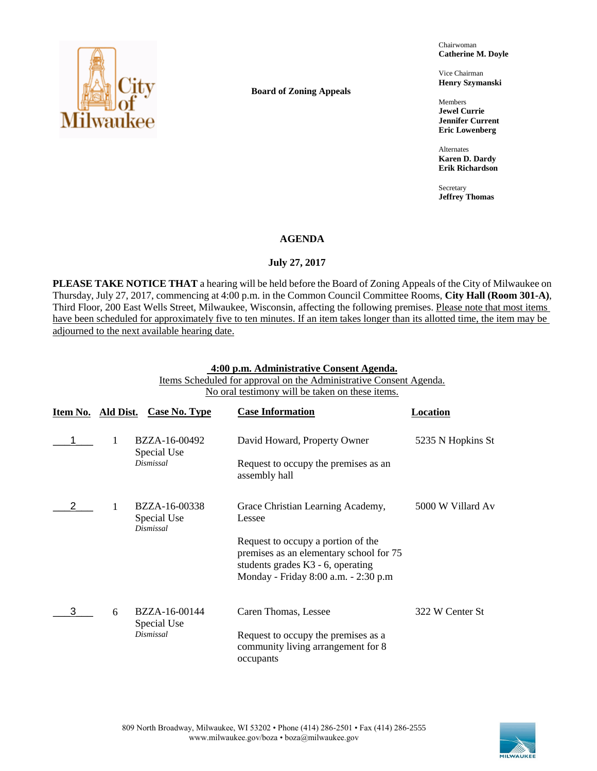

**Board of Zoning Appeals**

Chairwoman **Catherine M. Doyle**

Vice Chairman **Henry Szymanski**

Members **Jewel Currie Jennifer Current Eric Lowenberg**

Alternates **Karen D. Dardy Erik Richardson**

Secretary **Jeffrey Thomas**

#### **AGENDA**

## **July 27, 2017**

**PLEASE TAKE NOTICE THAT** a hearing will be held before the Board of Zoning Appeals of the City of Milwaukee on Thursday, July 27, 2017, commencing at 4:00 p.m. in the Common Council Committee Rooms, **City Hall (Room 301-A)**, Third Floor, 200 East Wells Street, Milwaukee, Wisconsin, affecting the following premises. Please note that most items have been scheduled for approximately five to ten minutes. If an item takes longer than its allotted time, the item may be adjourned to the next available hearing date.

#### **4:00 p.m. Administrative Consent Agenda.**

Items Scheduled for approval on the Administrative Consent Agenda. No oral testimony will be taken on these items.

| Item No. Ald Dist. |   | Case No. Type                             | <b>Case Information</b>                                                                                                                                    | Location          |
|--------------------|---|-------------------------------------------|------------------------------------------------------------------------------------------------------------------------------------------------------------|-------------------|
|                    |   | BZZA-16-00492<br>Special Use              | David Howard, Property Owner                                                                                                                               | 5235 N Hopkins St |
|                    |   | Dismissal                                 | Request to occupy the premises as an<br>assembly hall                                                                                                      |                   |
|                    |   | BZZA-16-00338<br>Special Use<br>Dismissal | Grace Christian Learning Academy,<br>Lessee                                                                                                                | 5000 W Villard Av |
|                    |   |                                           | Request to occupy a portion of the<br>premises as an elementary school for 75<br>students grades K3 - 6, operating<br>Monday - Friday 8:00 a.m. - 2:30 p.m |                   |
|                    | 6 | BZZA-16-00144<br>Special Use              | Caren Thomas, Lessee                                                                                                                                       | 322 W Center St   |
|                    |   | <b>Dismissal</b>                          | Request to occupy the premises as a<br>community living arrangement for 8<br>occupants                                                                     |                   |

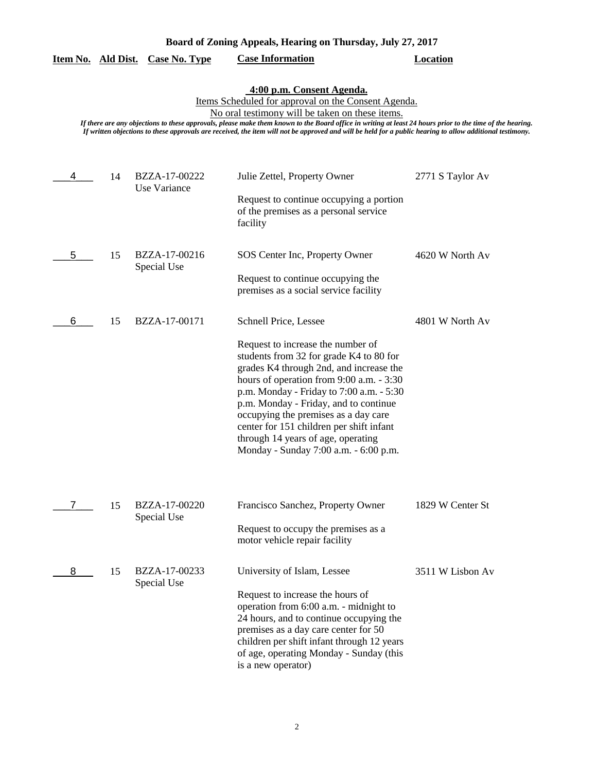| Board of Zoning Appeals, Hearing on Thursday, July 27, 2017 |  |  |  |
|-------------------------------------------------------------|--|--|--|
|                                                             |  |  |  |

## **Item No. Ald Dist. Case No. Type Case Information Location**

#### **4:00 p.m. Consent Agenda.**

Items Scheduled for approval on the Consent Agenda.

No oral testimony will be taken on these items.

| 4 | 14 | BZZA-17-00222<br>Use Variance | Julie Zettel, Property Owner<br>Request to continue occupying a portion<br>of the premises as a personal service<br>facility                                                                                                                                                                                                                                                                                                                         | 2771 S Taylor Av |
|---|----|-------------------------------|------------------------------------------------------------------------------------------------------------------------------------------------------------------------------------------------------------------------------------------------------------------------------------------------------------------------------------------------------------------------------------------------------------------------------------------------------|------------------|
| 5 | 15 | BZZA-17-00216<br>Special Use  | SOS Center Inc, Property Owner<br>Request to continue occupying the<br>premises as a social service facility                                                                                                                                                                                                                                                                                                                                         | 4620 W North Av  |
| 6 | 15 | BZZA-17-00171                 | Schnell Price, Lessee<br>Request to increase the number of<br>students from 32 for grade K4 to 80 for<br>grades K4 through 2nd, and increase the<br>hours of operation from 9:00 a.m. - 3:30<br>p.m. Monday - Friday to 7:00 a.m. - 5:30<br>p.m. Monday - Friday, and to continue<br>occupying the premises as a day care<br>center for 151 children per shift infant<br>through 14 years of age, operating<br>Monday - Sunday 7:00 a.m. - 6:00 p.m. | 4801 W North Av  |
| 7 | 15 | BZZA-17-00220<br>Special Use  | Francisco Sanchez, Property Owner<br>Request to occupy the premises as a<br>motor vehicle repair facility                                                                                                                                                                                                                                                                                                                                            | 1829 W Center St |
| 8 | 15 | BZZA-17-00233<br>Special Use  | University of Islam, Lessee<br>Request to increase the hours of<br>operation from 6:00 a.m. - midnight to<br>24 hours, and to continue occupying the<br>premises as a day care center for 50<br>children per shift infant through 12 years<br>of age, operating Monday - Sunday (this<br>is a new operator)                                                                                                                                          | 3511 W Lisbon Av |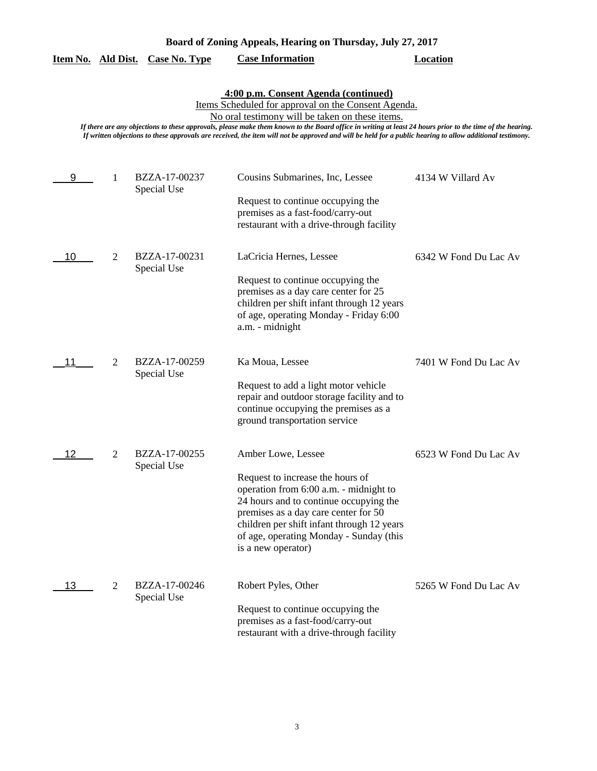| Board of Zoning Appeals, Hearing on Thursday, July 27, 2017 |  |  |  |
|-------------------------------------------------------------|--|--|--|
|                                                             |  |  |  |

|  |  | Item No. Ald Dist. Case No. Type | <b>Case Information</b> | Location |
|--|--|----------------------------------|-------------------------|----------|
|--|--|----------------------------------|-------------------------|----------|

#### **4:00 p.m. Consent Agenda (continued)**

Items Scheduled for approval on the Consent Agenda.

No oral testimony will be taken on these items.

| 9  | 1              | BZZA-17-00237<br>Special Use | Cousins Submarines, Inc, Lessee<br>Request to continue occupying the<br>premises as a fast-food/carry-out<br>restaurant with a drive-through facility                                                                                                                                             | 4134 W Villard Av     |
|----|----------------|------------------------------|---------------------------------------------------------------------------------------------------------------------------------------------------------------------------------------------------------------------------------------------------------------------------------------------------|-----------------------|
| 10 | $\overline{2}$ | BZZA-17-00231<br>Special Use | LaCricia Hernes, Lessee<br>Request to continue occupying the<br>premises as a day care center for 25<br>children per shift infant through 12 years<br>of age, operating Monday - Friday 6:00<br>a.m. - midnight                                                                                   | 6342 W Fond Du Lac Av |
| 11 | 2              | BZZA-17-00259<br>Special Use | Ka Moua, Lessee<br>Request to add a light motor vehicle<br>repair and outdoor storage facility and to<br>continue occupying the premises as a<br>ground transportation service                                                                                                                    | 7401 W Fond Du Lac Av |
| 12 | $\overline{2}$ | BZZA-17-00255<br>Special Use | Amber Lowe, Lessee<br>Request to increase the hours of<br>operation from 6:00 a.m. - midnight to<br>24 hours and to continue occupying the<br>premises as a day care center for 50<br>children per shift infant through 12 years<br>of age, operating Monday - Sunday (this<br>is a new operator) | 6523 W Fond Du Lac Av |
| 13 | $\overline{2}$ | BZZA-17-00246<br>Special Use | Robert Pyles, Other<br>Request to continue occupying the<br>premises as a fast-food/carry-out<br>restaurant with a drive-through facility                                                                                                                                                         | 5265 W Fond Du Lac Av |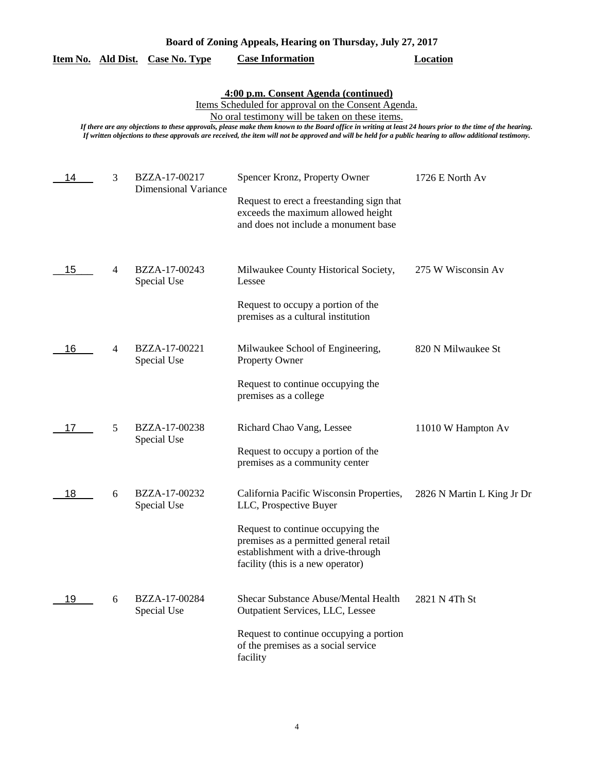| Board of Zoning Appeals, Hearing on Thursday, July 27, 2017 |  |  |  |
|-------------------------------------------------------------|--|--|--|
|                                                             |  |  |  |

|  |  | Item No. Ald Dist. Case No. Type | <b>Case Information</b> | Location |
|--|--|----------------------------------|-------------------------|----------|
|--|--|----------------------------------|-------------------------|----------|

#### **4:00 p.m. Consent Agenda (continued)**

Items Scheduled for approval on the Consent Agenda.

No oral testimony will be taken on these items.

| 14 | 3              | BZZA-17-00217<br><b>Dimensional Variance</b> | Spencer Kronz, Property Owner                                                                                                                          | 1726 E North Av            |
|----|----------------|----------------------------------------------|--------------------------------------------------------------------------------------------------------------------------------------------------------|----------------------------|
|    |                |                                              | Request to erect a freestanding sign that<br>exceeds the maximum allowed height<br>and does not include a monument base                                |                            |
| 15 | $\overline{4}$ | BZZA-17-00243<br>Special Use                 | Milwaukee County Historical Society,<br>Lessee                                                                                                         | 275 W Wisconsin Av         |
|    |                |                                              | Request to occupy a portion of the<br>premises as a cultural institution                                                                               |                            |
| 16 | 4              | BZZA-17-00221<br>Special Use                 | Milwaukee School of Engineering,<br>Property Owner                                                                                                     | 820 N Milwaukee St         |
|    |                |                                              | Request to continue occupying the<br>premises as a college                                                                                             |                            |
| 17 | 5              | BZZA-17-00238<br>Special Use                 | Richard Chao Vang, Lessee                                                                                                                              | 11010 W Hampton Av         |
|    |                |                                              | Request to occupy a portion of the<br>premises as a community center                                                                                   |                            |
| 18 | 6              | BZZA-17-00232<br>Special Use                 | California Pacific Wisconsin Properties,<br>LLC, Prospective Buyer                                                                                     | 2826 N Martin L King Jr Dr |
|    |                |                                              | Request to continue occupying the<br>premises as a permitted general retail<br>establishment with a drive-through<br>facility (this is a new operator) |                            |
| 19 | 6              | BZZA-17-00284<br>Special Use                 | Shecar Substance Abuse/Mental Health<br>Outpatient Services, LLC, Lessee                                                                               | 2821 N 4Th St              |
|    |                |                                              | Request to continue occupying a portion<br>of the premises as a social service<br>facility                                                             |                            |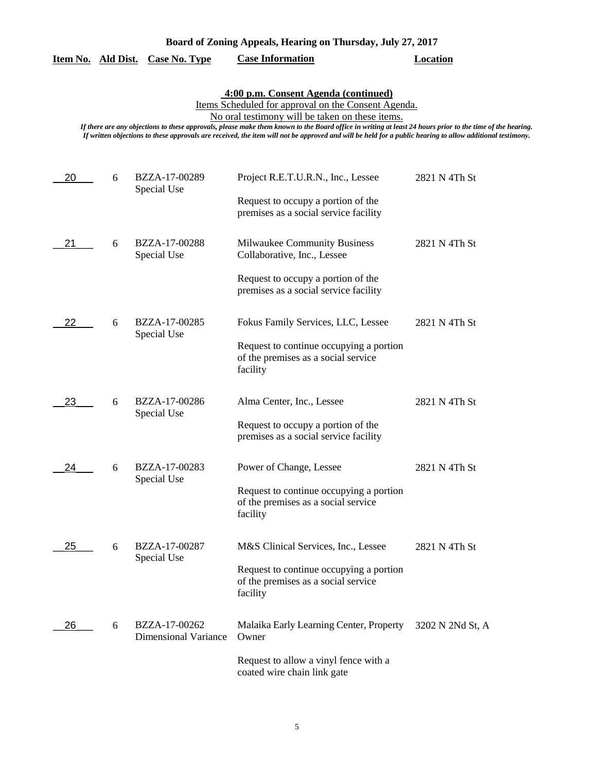## **Item No. Ald Dist. Case No. Type Case Information Location**

# **4:00 p.m. Consent Agenda (continued)**

Items Scheduled for approval on the Consent Agenda.

No oral testimony will be taken on these items.

| 20 | 6 | BZZA-17-00289<br>Special Use                 | Project R.E.T.U.R.N., Inc., Lessee                                                         | 2821 N 4Th St    |
|----|---|----------------------------------------------|--------------------------------------------------------------------------------------------|------------------|
|    |   |                                              | Request to occupy a portion of the<br>premises as a social service facility                |                  |
| 21 | 6 | BZZA-17-00288<br>Special Use                 | Milwaukee Community Business<br>Collaborative, Inc., Lessee                                | 2821 N 4Th St    |
|    |   |                                              | Request to occupy a portion of the<br>premises as a social service facility                |                  |
| 22 | 6 | BZZA-17-00285<br>Special Use                 | Fokus Family Services, LLC, Lessee                                                         | 2821 N 4Th St    |
|    |   |                                              | Request to continue occupying a portion<br>of the premises as a social service<br>facility |                  |
| 23 | 6 | BZZA-17-00286<br>Special Use                 | Alma Center, Inc., Lessee                                                                  | 2821 N 4Th St    |
|    |   |                                              | Request to occupy a portion of the<br>premises as a social service facility                |                  |
| 24 | 6 | BZZA-17-00283<br>Special Use                 | Power of Change, Lessee                                                                    | 2821 N 4Th St    |
|    |   |                                              | Request to continue occupying a portion<br>of the premises as a social service<br>facility |                  |
| 25 | 6 | BZZA-17-00287<br>Special Use                 | M&S Clinical Services, Inc., Lessee                                                        | 2821 N 4Th St    |
|    |   |                                              | Request to continue occupying a portion<br>of the premises as a social service<br>facility |                  |
| 26 | 6 | BZZA-17-00262<br><b>Dimensional Variance</b> | Malaika Early Learning Center, Property<br>Owner                                           | 3202 N 2Nd St, A |
|    |   |                                              | Request to allow a vinyl fence with a<br>coated wire chain link gate                       |                  |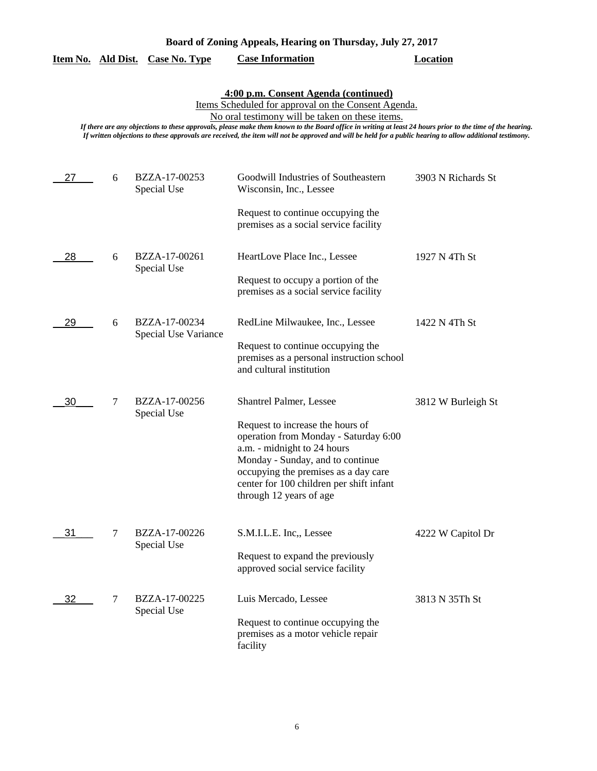| Board of Zoning Appeals, Hearing on Thursday, July 27, 2017 |  |  |  |
|-------------------------------------------------------------|--|--|--|
|                                                             |  |  |  |

|  |  | Item No. Ald Dist. Case No. Type | <b>Case Information</b> | Location |
|--|--|----------------------------------|-------------------------|----------|
|--|--|----------------------------------|-------------------------|----------|

**4:00 p.m. Consent Agenda (continued)**

Items Scheduled for approval on the Consent Agenda.

No oral testimony will be taken on these items.

| 27 | 6      | BZZA-17-00253<br>Special Use          | Goodwill Industries of Southeastern<br>Wisconsin, Inc., Lessee<br>Request to continue occupying the                                                                                                                                                         | 3903 N Richards St |
|----|--------|---------------------------------------|-------------------------------------------------------------------------------------------------------------------------------------------------------------------------------------------------------------------------------------------------------------|--------------------|
|    |        |                                       | premises as a social service facility                                                                                                                                                                                                                       |                    |
| 28 | 6      | BZZA-17-00261<br>Special Use          | HeartLove Place Inc., Lessee                                                                                                                                                                                                                                | 1927 N 4Th St      |
|    |        |                                       | Request to occupy a portion of the<br>premises as a social service facility                                                                                                                                                                                 |                    |
| 29 | 6      | BZZA-17-00234<br>Special Use Variance | RedLine Milwaukee, Inc., Lessee                                                                                                                                                                                                                             | 1422 N 4Th St      |
|    |        |                                       | Request to continue occupying the<br>premises as a personal instruction school<br>and cultural institution                                                                                                                                                  |                    |
| 30 | 7      | BZZA-17-00256<br>Special Use          | Shantrel Palmer, Lessee                                                                                                                                                                                                                                     | 3812 W Burleigh St |
|    |        |                                       | Request to increase the hours of<br>operation from Monday - Saturday 6:00<br>a.m. - midnight to 24 hours<br>Monday - Sunday, and to continue<br>occupying the premises as a day care<br>center for 100 children per shift infant<br>through 12 years of age |                    |
| 31 | $\tau$ | BZZA-17-00226<br>Special Use          | S.M.I.L.E. Inc., Lessee                                                                                                                                                                                                                                     | 4222 W Capitol Dr  |
|    |        |                                       | Request to expand the previously<br>approved social service facility                                                                                                                                                                                        |                    |
| 32 | $\tau$ | BZZA-17-00225<br>Special Use          | Luis Mercado, Lessee                                                                                                                                                                                                                                        | 3813 N 35Th St     |
|    |        |                                       | Request to continue occupying the<br>premises as a motor vehicle repair<br>facility                                                                                                                                                                         |                    |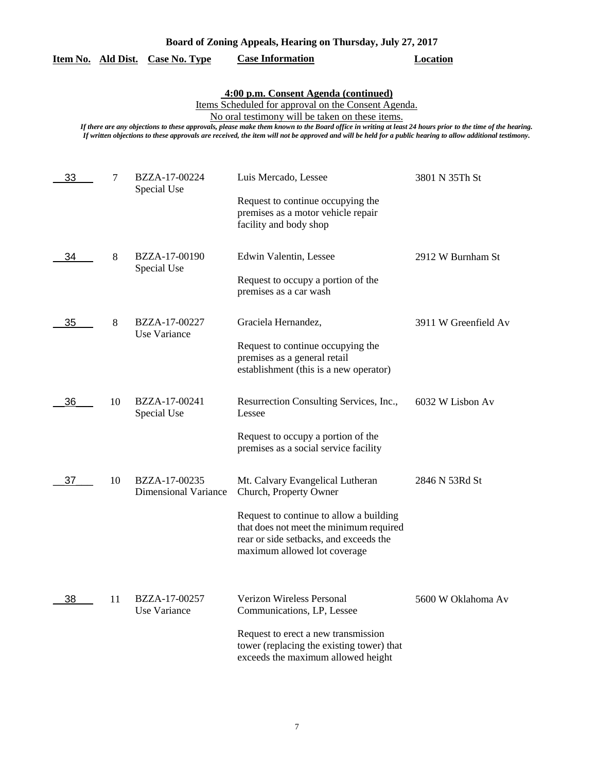## **Item No. Ald Dist. Case No. Type Case Information Location**

# **4:00 p.m. Consent Agenda (continued)**

Items Scheduled for approval on the Consent Agenda.

No oral testimony will be taken on these items.

| 33 | 7  | BZZA-17-00224<br>Special Use                 | Luis Mercado, Lessee<br>Request to continue occupying the<br>premises as a motor vehicle repair<br>facility and body shop                                                                                                  | 3801 N 35Th St       |
|----|----|----------------------------------------------|----------------------------------------------------------------------------------------------------------------------------------------------------------------------------------------------------------------------------|----------------------|
| 34 | 8  | BZZA-17-00190<br>Special Use                 | Edwin Valentin, Lessee<br>Request to occupy a portion of the<br>premises as a car wash                                                                                                                                     | 2912 W Burnham St    |
| 35 | 8  | BZZA-17-00227<br>Use Variance                | Graciela Hernandez,<br>Request to continue occupying the<br>premises as a general retail<br>establishment (this is a new operator)                                                                                         | 3911 W Greenfield Av |
| 36 | 10 | BZZA-17-00241<br>Special Use                 | Resurrection Consulting Services, Inc.,<br>Lessee<br>Request to occupy a portion of the<br>premises as a social service facility                                                                                           | 6032 W Lisbon Av     |
| 37 | 10 | BZZA-17-00235<br><b>Dimensional Variance</b> | Mt. Calvary Evangelical Lutheran<br>Church, Property Owner<br>Request to continue to allow a building<br>that does not meet the minimum required<br>rear or side setbacks, and exceeds the<br>maximum allowed lot coverage | 2846 N 53Rd St       |
| 38 | 11 | BZZA-17-00257<br>Use Variance                | Verizon Wireless Personal<br>Communications, LP, Lessee<br>Request to erect a new transmission<br>tower (replacing the existing tower) that<br>exceeds the maximum allowed height                                          | 5600 W Oklahoma Av   |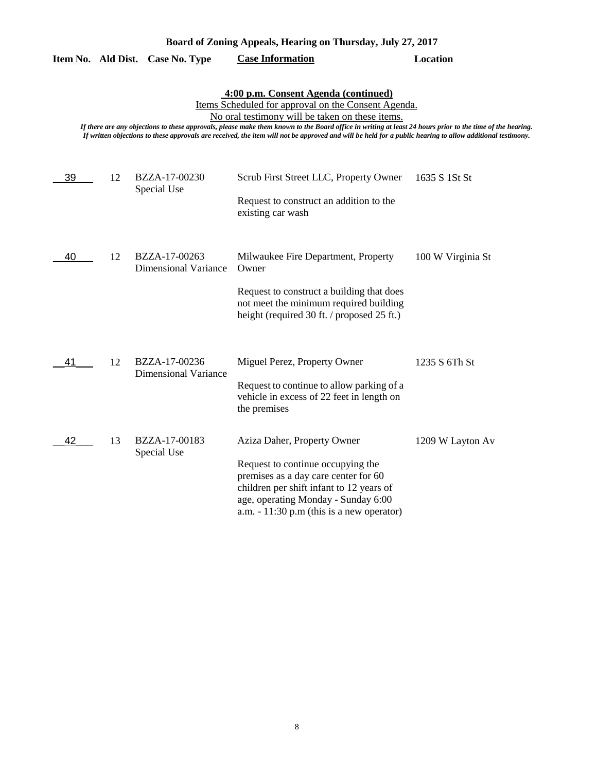| Board of Zoning Appeals, Hearing on Thursday, July 27, 2017 |  |  |  |
|-------------------------------------------------------------|--|--|--|
|                                                             |  |  |  |

|    |    | Item No. Ald Dist. Case No. Type             | <b>Case Information</b>                                                                                                                                                                                                                                                                                                                                                                                                                                                  | <b>Location</b>   |
|----|----|----------------------------------------------|--------------------------------------------------------------------------------------------------------------------------------------------------------------------------------------------------------------------------------------------------------------------------------------------------------------------------------------------------------------------------------------------------------------------------------------------------------------------------|-------------------|
|    |    |                                              | 4:00 p.m. Consent Agenda (continued)<br>Items Scheduled for approval on the Consent Agenda.<br>No oral testimony will be taken on these items.<br>If there are any objections to these approvals, please make them known to the Board office in writing at least 24 hours prior to the time of the hearing.<br>If written objections to these approvals are received, the item will not be approved and will be held for a public hearing to allow additional testimony. |                   |
| 39 | 12 | BZZA-17-00230<br>Special Use                 | Scrub First Street LLC, Property Owner<br>Request to construct an addition to the<br>existing car wash                                                                                                                                                                                                                                                                                                                                                                   | 1635 S 1St St     |
| 40 | 12 | BZZA-17-00263<br><b>Dimensional Variance</b> | Milwaukee Fire Department, Property<br>Owner<br>Request to construct a building that does<br>not meet the minimum required building<br>height (required 30 ft. / proposed 25 ft.)                                                                                                                                                                                                                                                                                        | 100 W Virginia St |
| 41 | 12 | BZZA-17-00236<br><b>Dimensional Variance</b> | Miguel Perez, Property Owner<br>Request to continue to allow parking of a<br>vehicle in excess of 22 feet in length on<br>the premises                                                                                                                                                                                                                                                                                                                                   | 1235 S 6Th St     |
| 42 | 13 | BZZA-17-00183<br>Special Use                 | Aziza Daher, Property Owner<br>Request to continue occupying the<br>premises as a day care center for 60<br>children per shift infant to 12 years of<br>age, operating Monday - Sunday 6:00<br>a.m. $-11:30$ p.m (this is a new operator)                                                                                                                                                                                                                                | 1209 W Layton Av  |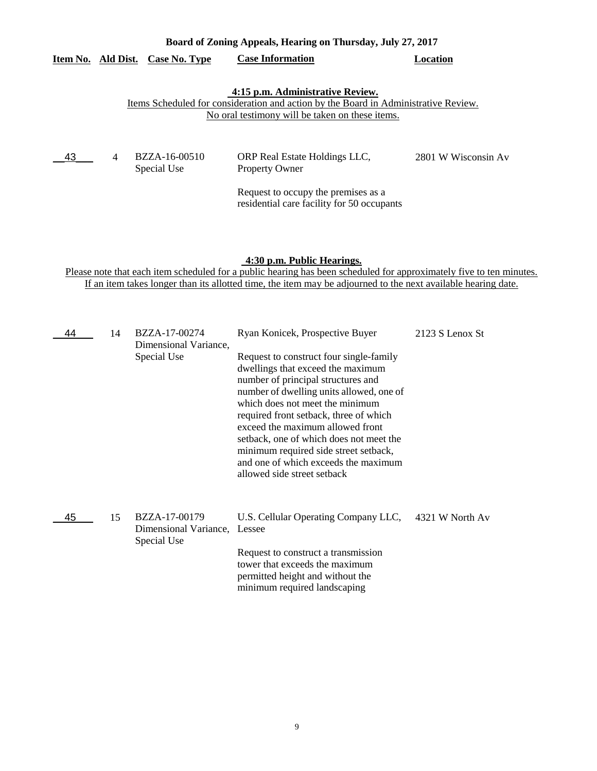|          | Board of Zoning Appeals, Hearing on Thursday, July 27, 2017 |               |                                                                                                                                        |                     |
|----------|-------------------------------------------------------------|---------------|----------------------------------------------------------------------------------------------------------------------------------------|---------------------|
| Item No. | Ald Dist.                                                   | Case No. Type | <b>Case Information</b>                                                                                                                | Location            |
|          |                                                             |               | 4:15 p.m. Administrative Review.                                                                                                       |                     |
|          |                                                             |               | Items Scheduled for consideration and action by the Board in Administrative Review.<br>No oral testimony will be taken on these items. |                     |
|          |                                                             |               |                                                                                                                                        |                     |
|          |                                                             |               |                                                                                                                                        |                     |
| -43      | $\overline{4}$                                              | BZZA-16-00510 | ORP Real Estate Holdings LLC,                                                                                                          | 2801 W Wisconsin Av |
|          |                                                             | Special Use   | <b>Property Owner</b>                                                                                                                  |                     |
|          |                                                             |               | Request to occupy the premises as a                                                                                                    |                     |

#### **4:30 p.m. Public Hearings.**

residential care facility for 50 occupants

Please note that each item scheduled for a public hearing has been scheduled for approximately five to ten minutes. If an item takes longer than its allotted time, the item may be adjourned to the next available hearing date.

| 44 | 14 | BZZA-17-00274<br>Dimensional Variance,                | Ryan Konicek, Prospective Buyer                                                                                                                                                                                                                                                                                                                                                                                                            | 2123 S Lenox St |
|----|----|-------------------------------------------------------|--------------------------------------------------------------------------------------------------------------------------------------------------------------------------------------------------------------------------------------------------------------------------------------------------------------------------------------------------------------------------------------------------------------------------------------------|-----------------|
|    |    | Special Use                                           | Request to construct four single-family<br>dwellings that exceed the maximum<br>number of principal structures and<br>number of dwelling units allowed, one of<br>which does not meet the minimum<br>required front setback, three of which<br>exceed the maximum allowed front<br>setback, one of which does not meet the<br>minimum required side street setback,<br>and one of which exceeds the maximum<br>allowed side street setback |                 |
| 45 | 15 | BZZA-17-00179<br>Dimensional Variance,<br>Special Use | U.S. Cellular Operating Company LLC,<br>Lessee<br>Request to construct a transmission<br>tower that exceeds the maximum<br>permitted height and without the<br>minimum required landscaping                                                                                                                                                                                                                                                | 4321 W North Av |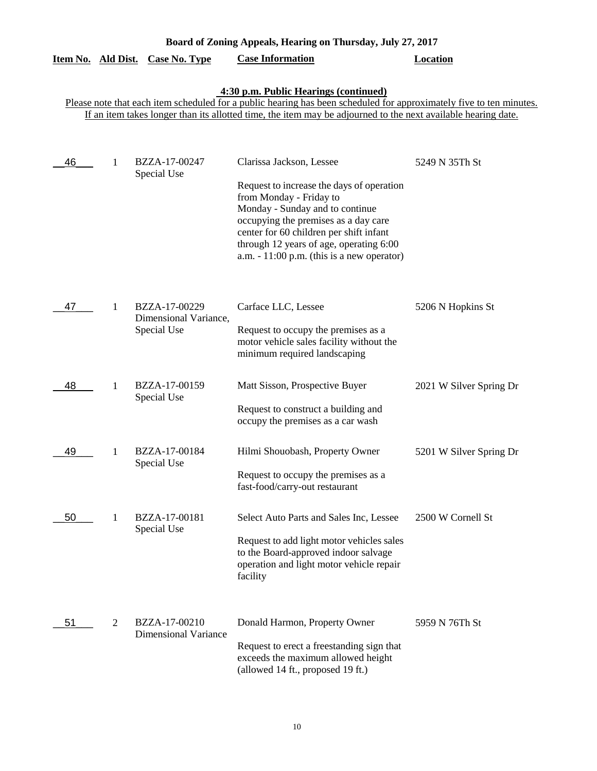|                                                                                                                                                              |             | Item No. Ald Dist. Case No. Type                                                                                | <b>Case Information</b>                                                                                                                                                                                                               | Location                |  |  |  |
|--------------------------------------------------------------------------------------------------------------------------------------------------------------|-------------|-----------------------------------------------------------------------------------------------------------------|---------------------------------------------------------------------------------------------------------------------------------------------------------------------------------------------------------------------------------------|-------------------------|--|--|--|
| 4:30 p.m. Public Hearings (continued)<br>Please note that each item scheduled for a public hearing has been scheduled for approximately five to ten minutes. |             |                                                                                                                 |                                                                                                                                                                                                                                       |                         |  |  |  |
|                                                                                                                                                              |             |                                                                                                                 | If an item takes longer than its allotted time, the item may be adjourned to the next available hearing date.                                                                                                                         |                         |  |  |  |
|                                                                                                                                                              |             |                                                                                                                 |                                                                                                                                                                                                                                       |                         |  |  |  |
| 46                                                                                                                                                           | 1           | BZZA-17-00247<br>Special Use                                                                                    | Clarissa Jackson, Lessee                                                                                                                                                                                                              | 5249 N 35Th St          |  |  |  |
|                                                                                                                                                              |             |                                                                                                                 | Request to increase the days of operation<br>from Monday - Friday to<br>Monday - Sunday and to continue<br>occupying the premises as a day care<br>center for 60 children per shift infant<br>through 12 years of age, operating 6:00 |                         |  |  |  |
|                                                                                                                                                              |             |                                                                                                                 | a.m. $-11:00$ p.m. (this is a new operator)                                                                                                                                                                                           |                         |  |  |  |
|                                                                                                                                                              |             |                                                                                                                 |                                                                                                                                                                                                                                       |                         |  |  |  |
| 47                                                                                                                                                           | 1           | BZZA-17-00229<br>Dimensional Variance,                                                                          | Carface LLC, Lessee                                                                                                                                                                                                                   | 5206 N Hopkins St       |  |  |  |
|                                                                                                                                                              | Special Use | Request to occupy the premises as a<br>motor vehicle sales facility without the<br>minimum required landscaping |                                                                                                                                                                                                                                       |                         |  |  |  |
| 48                                                                                                                                                           | 1           | BZZA-17-00159<br>Special Use                                                                                    | Matt Sisson, Prospective Buyer                                                                                                                                                                                                        | 2021 W Silver Spring Dr |  |  |  |
|                                                                                                                                                              |             |                                                                                                                 | Request to construct a building and<br>occupy the premises as a car wash                                                                                                                                                              |                         |  |  |  |
| 49                                                                                                                                                           | 1           | BZZA-17-00184<br>Special Use                                                                                    | Hilmi Shouobash, Property Owner                                                                                                                                                                                                       | 5201 W Silver Spring Dr |  |  |  |
|                                                                                                                                                              |             |                                                                                                                 | Request to occupy the premises as a<br>fast-food/carry-out restaurant                                                                                                                                                                 |                         |  |  |  |
| 50                                                                                                                                                           | 1           | BZZA-17-00181<br>Special Use                                                                                    | Select Auto Parts and Sales Inc, Lessee                                                                                                                                                                                               | 2500 W Cornell St       |  |  |  |
|                                                                                                                                                              |             |                                                                                                                 | Request to add light motor vehicles sales<br>to the Board-approved indoor salvage<br>operation and light motor vehicle repair<br>facility                                                                                             |                         |  |  |  |
| 51                                                                                                                                                           | 2           | BZZA-17-00210<br><b>Dimensional Variance</b>                                                                    | Donald Harmon, Property Owner                                                                                                                                                                                                         | 5959 N 76Th St          |  |  |  |
|                                                                                                                                                              |             |                                                                                                                 | Request to erect a freestanding sign that<br>exceeds the maximum allowed height<br>(allowed 14 ft., proposed 19 ft.)                                                                                                                  |                         |  |  |  |

**Board of Zoning Appeals, Hearing on Thursday, July 27, 2017**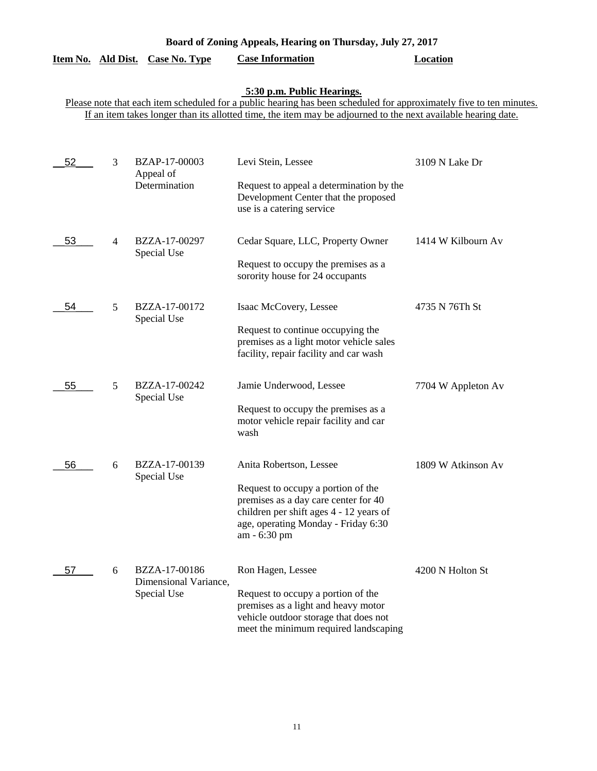| Item No. Ald Dist. |                | Case No. Type                                         | <b>Case Information</b>                                                                                                                                                                                                                                            | Location           |
|--------------------|----------------|-------------------------------------------------------|--------------------------------------------------------------------------------------------------------------------------------------------------------------------------------------------------------------------------------------------------------------------|--------------------|
|                    |                |                                                       | 5:30 p.m. Public Hearings.<br>Please note that each item scheduled for a public hearing has been scheduled for approximately five to ten minutes.<br>If an item takes longer than its allotted time, the item may be adjourned to the next available hearing date. |                    |
| 52                 | 3              | BZAP-17-00003<br>Appeal of<br>Determination           | Levi Stein, Lessee<br>Request to appeal a determination by the<br>Development Center that the proposed<br>use is a catering service                                                                                                                                | 3109 N Lake Dr     |
| 53                 | $\overline{4}$ | BZZA-17-00297<br>Special Use                          | Cedar Square, LLC, Property Owner<br>Request to occupy the premises as a<br>sorority house for 24 occupants                                                                                                                                                        | 1414 W Kilbourn Av |
| 54                 | 5              | BZZA-17-00172<br>Special Use                          | Isaac McCovery, Lessee<br>Request to continue occupying the<br>premises as a light motor vehicle sales<br>facility, repair facility and car wash                                                                                                                   | 4735 N 76Th St     |
| 55                 | 5              | BZZA-17-00242<br>Special Use                          | Jamie Underwood, Lessee<br>Request to occupy the premises as a<br>motor vehicle repair facility and car<br>wash                                                                                                                                                    | 7704 W Appleton Av |
| 56                 | 6              | BZZA-17-00139<br>Special Use                          | Anita Robertson, Lessee<br>Request to occupy a portion of the<br>premises as a day care center for 40<br>children per shift ages 4 - 12 years of<br>age, operating Monday - Friday 6:30<br>am - 6:30 pm                                                            | 1809 W Atkinson Av |
| 57                 | 6              | BZZA-17-00186<br>Dimensional Variance,<br>Special Use | Ron Hagen, Lessee<br>Request to occupy a portion of the<br>premises as a light and heavy motor<br>vehicle outdoor storage that does not<br>meet the minimum required landscaping                                                                                   | 4200 N Holton St   |

**Board of Zoning Appeals, Hearing on Thursday, July 27, 2017** 

# 11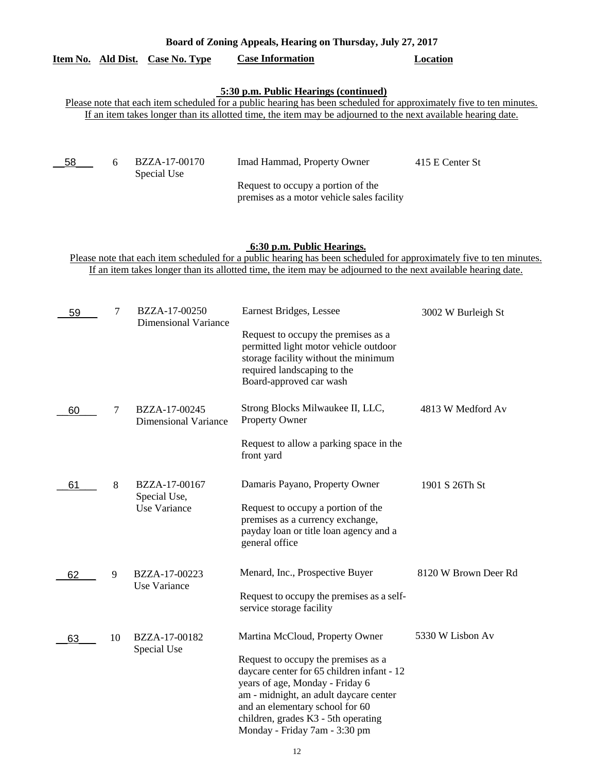|    |                                                                                                                                                                                                                                                                                                                  |                                               | Please note that each item scheduled for a public hearing has been scheduled for approximately five to ten minutes.<br>If an item takes longer than its allotted time, the item may be adjourned to the next available hearing date.                                                                         |                      |  |  |  |
|----|------------------------------------------------------------------------------------------------------------------------------------------------------------------------------------------------------------------------------------------------------------------------------------------------------------------|-----------------------------------------------|--------------------------------------------------------------------------------------------------------------------------------------------------------------------------------------------------------------------------------------------------------------------------------------------------------------|----------------------|--|--|--|
| 58 | 6                                                                                                                                                                                                                                                                                                                | BZZA-17-00170<br>Special Use                  | Imad Hammad, Property Owner<br>Request to occupy a portion of the                                                                                                                                                                                                                                            | 415 E Center St      |  |  |  |
|    | premises as a motor vehicle sales facility<br>6:30 p.m. Public Hearings.<br>Please note that each item scheduled for a public hearing has been scheduled for approximately five to ten minutes.<br>If an item takes longer than its allotted time, the item may be adjourned to the next available hearing date. |                                               |                                                                                                                                                                                                                                                                                                              |                      |  |  |  |
| 59 | 7                                                                                                                                                                                                                                                                                                                | BZZA-17-00250<br><b>Dimensional Variance</b>  | Earnest Bridges, Lessee<br>Request to occupy the premises as a<br>permitted light motor vehicle outdoor<br>storage facility without the minimum<br>required landscaping to the<br>Board-approved car wash                                                                                                    | 3002 W Burleigh St   |  |  |  |
| 60 | 7                                                                                                                                                                                                                                                                                                                | BZZA-17-00245<br><b>Dimensional Variance</b>  | Strong Blocks Milwaukee II, LLC,<br>Property Owner<br>Request to allow a parking space in the<br>front yard                                                                                                                                                                                                  | 4813 W Medford Av    |  |  |  |
| 61 | 8                                                                                                                                                                                                                                                                                                                | BZZA-17-00167<br>Special Use,<br>Use Variance | Damaris Payano, Property Owner<br>Request to occupy a portion of the<br>premises as a currency exchange,<br>payday loan or title loan agency and a<br>general office                                                                                                                                         | 1901 S 26Th St       |  |  |  |
| 62 | 9                                                                                                                                                                                                                                                                                                                | BZZA-17-00223<br>Use Variance                 | Menard, Inc., Prospective Buyer<br>Request to occupy the premises as a self-<br>service storage facility                                                                                                                                                                                                     | 8120 W Brown Deer Rd |  |  |  |
| 63 | 10                                                                                                                                                                                                                                                                                                               | BZZA-17-00182<br>Special Use                  | Martina McCloud, Property Owner<br>Request to occupy the premises as a<br>daycare center for 65 children infant - 12<br>years of age, Monday - Friday 6<br>am - midnight, an adult daycare center<br>and an elementary school for 60<br>children, grades K3 - 5th operating<br>Monday - Friday 7am - 3:30 pm | 5330 W Lisbon Av     |  |  |  |

**Board of Zoning Appeals, Hearing on Thursday, July 27, 2017** 

**Item No. Ald Dist. Case No. Type Case Information Location**